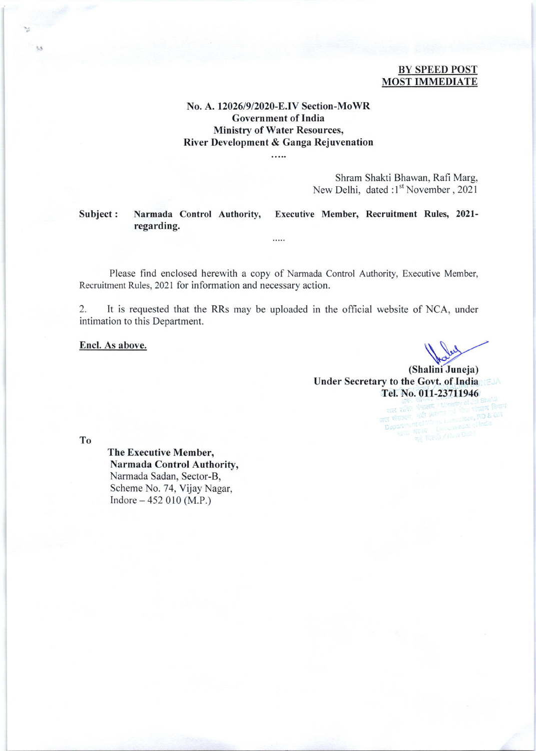BY SPEED POST MOST IMMEDIATE

## No. A. 12026/9/2020-E.IV Section-MoWR Government of India Ministry of Water Resources, River Development & Ganga Rejuvenation . . . . .

Shram Shakti Bhawan, Rafi Marg, New Delhi, dated :1<sup>st</sup> November, 2021

## Subiect: Narmada Control Authority, Executive Member, Recruitment Rules, 2021 regarding.

 $\cdots$ 

Please find enclosed herewith a copy of Narmada Control Authority, Executive Member, Recruitment Rules, 2021 for information and necessary action.

2. It is requested that the RRs may be uploaded in the official website of NCA, under intimation to this Department.

Encl. As above.

Under Secretary to the Govt. of India 1844 (Shalini'Juneja)

> **History** (Ministry of एक्षण विभाग जल शक्ति जल राकिः मधोधभाषायान्तुः<br>जलं संसादनं, नदी ।वस्परा पर्वे<br>कालं प्राची (Malo: Luso) जल शाकी भवागमा - जुलान परिवेश अला<br>जल संसाधन, नहीं गिलात Lueocroes, RD & GR<br>Department of Welth Covernment of India<br>- भारत - सुर्कु दिल्ली / New Dolbi

To

The Executive Member, Narmada Control Authority, Narmada Sadan, Sector-B, Scheme No. 74, Vijay Nagar,  $Indore - 452 010 (M.P.)$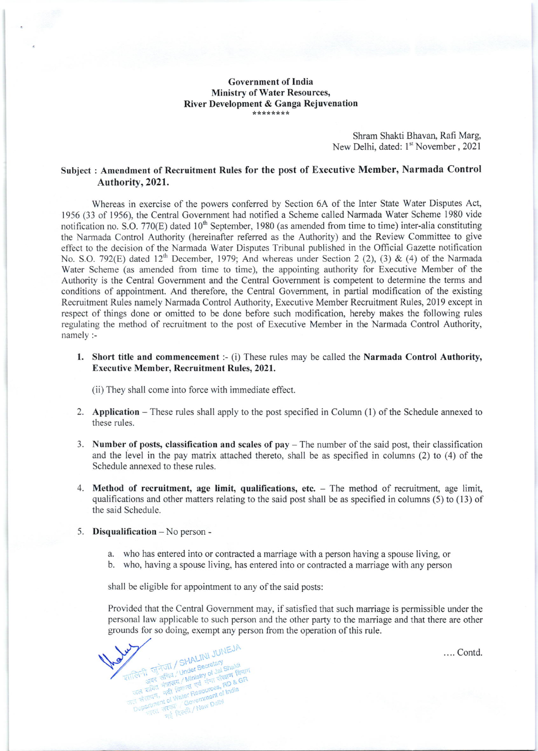## Government of India Ministry of Water Resources, River Development & Ganga Rejuvenation \*r.rr\*r.r.r(r.

Shram Shakti Bhavan, Rafi Marg, New Delhi, dated: 1<sup>st</sup> November, 2021

## Subject : Amendment of Recruitment Rules for the post of Executive Member, Narmada Control Authority,2021.

Whereas in exercise of the powers conferred by Section 6A of the Inter State Water Disputes Act, 1956 (33 of 1956), the Central Govemment had notified a Scheme called Narmada Water Scheme 1980 vide notification no. S.O. 770(E) dated 10<sup>th</sup> September, 1980 (as amended from time to time) inter-alia constituting the Narmada Control Authority (hereinafter referred as the Authority) and the Review Committee to give effect to the decision of the Narmada Water Disputes Tribunal published in the Official Gazette notification No. S.O. 792(E) dated 12<sup>th</sup> December, 1979; And whereas under Section 2 (2), (3) & (4) of the Narmada Water Scheme (as amended from time to time), the appointing authority for Executive Member of the Authority is the Central Govemment and the Central Govemment is competent to determine the terms and conditions of appointment. And therefore, the Central Govemment, in partial modification of the existing Recruitment Rules namely Narmada Control Authority, Executive Member Recruitment Rules, 2019 except in respect of things done or omitted to be done before such modification, hereby makes the following rules regulating the method of recruitment to the post of Executive Member in the Narmada Control Authority, namely :-

1. Short title and commencement :- (i) These rules may be called the Narmada Control Authority, Executive Member, Recruitment Rules, 2021.

(ii) They shall come into force with immediate effect.

- 2. Application These rules shall apply to the post specified in Column (l) of the Schedule annexed to these rules.
- 3. Number of posts, classification and scales of pay The number of the said post, their classification and the level in the pay matrix attached thereto, shall be as specified in columns (2) to (4) of the Schedule annexed to these rules.
- 4. Method of recruitment, age limit, qualifications, etc. The method of recruitment, age limit, qualifications and other matters relating to the said post shall be as specified in columns (5) to (13) of the said Schedule.
- 5. Disqualification  $-$  No person
	- a. who has entered into or contracted a marriage with a person having a spouse living, or
	- b. who, having a spouse living, has entered into or contracted a marriage with any person

shall be eligible for appointment to any of the said posts:

**A TERRALINI JUNEJA**<br>A TERRA / Under Secretary<br>A TERRA / Under Secretary of Japanese

**Example 11 Apple 11 Apple 11 Apple 11 Apple 11 Apple 11 Apple 11 Apple 11 Apple 11 Apple 11 Apple 11 Apple 11 Apple 11 Apple 11 Apple 11 Apple 11 Apple 11 Apple 11 Apple 11 Apple 11 Apple 11 Apple 11 Apple 11 Apple 11 App** निनी पुरा चरित्व, 'Undel yof Jailor Responses, Party and Street Responses, Party of The GR<br>उन्हों चर्चावर्स, 'Minites पर स्व नंगा जख्शा विनार<br>उन शासन, नदी विलास सुबंध (Marchand of India<br>The संसाधन सरका 'Government of Indi अपना चैत्रातिय**ास एवं नेगालिक RD & 4**<br>साबन, नदी बिकाल Resources, RD & 4<br>वापनाला di Wale Government of India<br>वापना चमूल (वेल्डी) / New Delhi **R** of Water<br>HTml Government<br>HTml Freeh / New Delhi

Provided that the Central Government may, if satisfied that such marriage is permissible under the personal law applicable to such person and the other party to the marriage and that there are other grounds for so doing, exempt any person from the operation of this rule.

.... Contd.